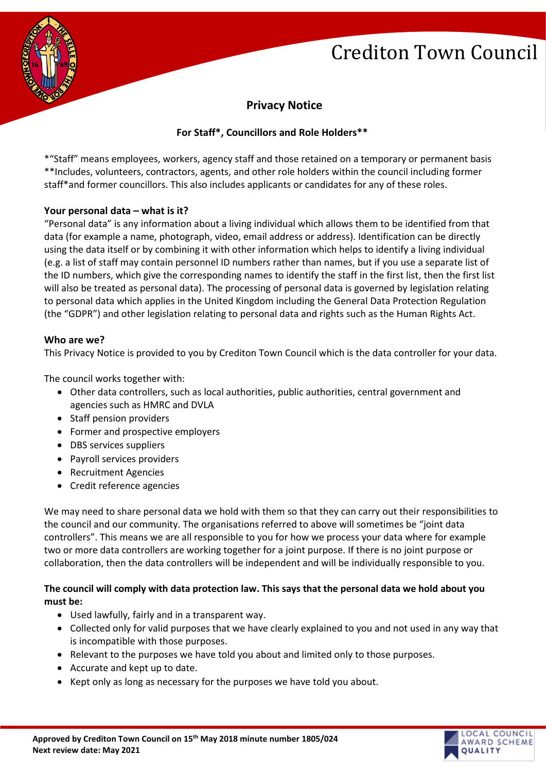**OCAL COUNCIL** AWARD SCHEME

**OUALITY** 



# **Privacy Notice**

# **For Staff\*, Councillors and Role Holders\*\***

\*"Staff" means employees, workers, agency staff and those retained on a temporary or permanent basis \*\*Includes, volunteers, contractors, agents, and other role holders within the council including former staff\*and former councillors. This also includes applicants or candidates for any of these roles.

### **Your personal data – what is it?**

"Personal data" is any information about a living individual which allows them to be identified from that data (for example a name, photograph, video, email address or address). Identification can be directly using the data itself or by combining it with other information which helps to identify a living individual (e.g. a list of staff may contain personnel ID numbers rather than names, but if you use a separate list of the ID numbers, which give the corresponding names to identify the staff in the first list, then the first list will also be treated as personal data). The processing of personal data is governed by legislation relating to personal data which applies in the United Kingdom including the General Data Protection Regulation (the "GDPR") and other legislation relating to personal data and rights such as the Human Rights Act.

#### **Who are we?**

This Privacy Notice is provided to you by Crediton Town Council which is the data controller for your data.

The council works together with:

- Other data controllers, such as local authorities, public authorities, central government and agencies such as HMRC and DVLA
- Staff pension providers
- Former and prospective employers
- DBS services suppliers
- Payroll services providers
- Recruitment Agencies
- Credit reference agencies

We may need to share personal data we hold with them so that they can carry out their responsibilities to the council and our community. The organisations referred to above will sometimes be "joint data controllers". This means we are all responsible to you for how we process your data where for example two or more data controllers are working together for a joint purpose. If there is no joint purpose or collaboration, then the data controllers will be independent and will be individually responsible to you.

# **The council will comply with data protection law. This says that the personal data we hold about you must be:**

- Used lawfully, fairly and in a transparent way.
- Collected only for valid purposes that we have clearly explained to you and not used in any way that is incompatible with those purposes.
- Relevant to the purposes we have told you about and limited only to those purposes.
- Accurate and kept up to date.
- Kept only as long as necessary for the purposes we have told you about.

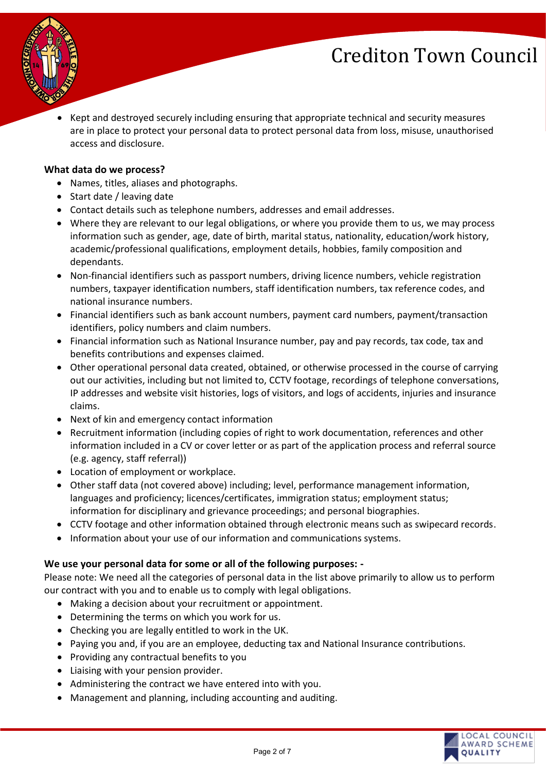

• Kept and destroyed securely including ensuring that appropriate technical and security measures are in place to protect your personal data to protect personal data from loss, misuse, unauthorised access and disclosure.

#### **What data do we process?**

- Names, titles, aliases and photographs.
- Start date / leaving date
- Contact details such as telephone numbers, addresses and email addresses.
- Where they are relevant to our legal obligations, or where you provide them to us, we may process information such as gender, age, date of birth, marital status, nationality, education/work history, academic/professional qualifications, employment details, hobbies, family composition and dependants.
- Non-financial identifiers such as passport numbers, driving licence numbers, vehicle registration numbers, taxpayer identification numbers, staff identification numbers, tax reference codes, and national insurance numbers.
- Financial identifiers such as bank account numbers, payment card numbers, payment/transaction identifiers, policy numbers and claim numbers.
- Financial information such as National Insurance number, pay and pay records, tax code, tax and benefits contributions and expenses claimed.
- Other operational personal data created, obtained, or otherwise processed in the course of carrying out our activities, including but not limited to, CCTV footage, recordings of telephone conversations, IP addresses and website visit histories, logs of visitors, and logs of accidents, injuries and insurance claims.
- Next of kin and emergency contact information
- Recruitment information (including copies of right to work documentation, references and other information included in a CV or cover letter or as part of the application process and referral source (e.g. agency, staff referral))
- Location of employment or workplace.
- Other staff data (not covered above) including; level, performance management information, languages and proficiency; licences/certificates, immigration status; employment status; information for disciplinary and grievance proceedings; and personal biographies.
- CCTV footage and other information obtained through electronic means such as swipecard records.
- Information about your use of our information and communications systems.

#### **We use your personal data for some or all of the following purposes: -**

Please note: We need all the categories of personal data in the list above primarily to allow us to perform our contract with you and to enable us to comply with legal obligations.

- Making a decision about your recruitment or appointment.
- Determining the terms on which you work for us.
- Checking you are legally entitled to work in the UK.
- Paying you and, if you are an employee, deducting tax and National Insurance contributions.
- Providing any contractual benefits to you
- Liaising with your pension provider.
- Administering the contract we have entered into with you.
- Management and planning, including accounting and auditing.

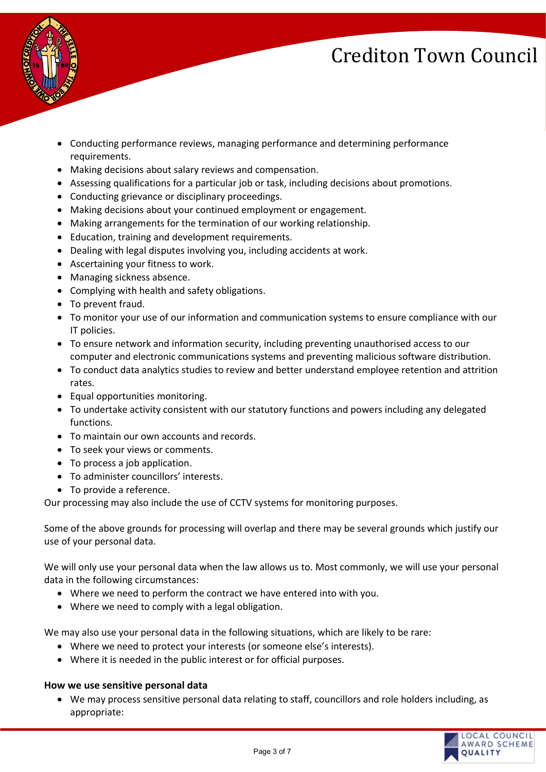

- Conducting performance reviews, managing performance and determining performance requirements.
- Making decisions about salary reviews and compensation.
- Assessing qualifications for a particular job or task, including decisions about promotions.
- Conducting grievance or disciplinary proceedings.
- Making decisions about your continued employment or engagement.
- Making arrangements for the termination of our working relationship.
- Education, training and development requirements.
- Dealing with legal disputes involving you, including accidents at work.
- Ascertaining your fitness to work.
- Managing sickness absence.
- Complying with health and safety obligations.
- To prevent fraud.
- To monitor your use of our information and communication systems to ensure compliance with our IT policies.
- To ensure network and information security, including preventing unauthorised access to our computer and electronic communications systems and preventing malicious software distribution.
- To conduct data analytics studies to review and better understand employee retention and attrition rates.
- Equal opportunities monitoring.
- To undertake activity consistent with our statutory functions and powers including any delegated functions.
- To maintain our own accounts and records.
- To seek your views or comments.
- To process a job application.
- To administer councillors' interests.
- To provide a reference.

Our processing may also include the use of CCTV systems for monitoring purposes.

Some of the above grounds for processing will overlap and there may be several grounds which justify our use of your personal data.

We will only use your personal data when the law allows us to. Most commonly, we will use your personal data in the following circumstances:

- Where we need to perform the contract we have entered into with you.
- Where we need to comply with a legal obligation.

We may also use your personal data in the following situations, which are likely to be rare:

- Where we need to protect your interests (or someone else's interests).
- Where it is needed in the public interest or for official purposes.

#### **How we use sensitive personal data**

• We may process sensitive personal data relating to staff, councillors and role holders including, as appropriate:

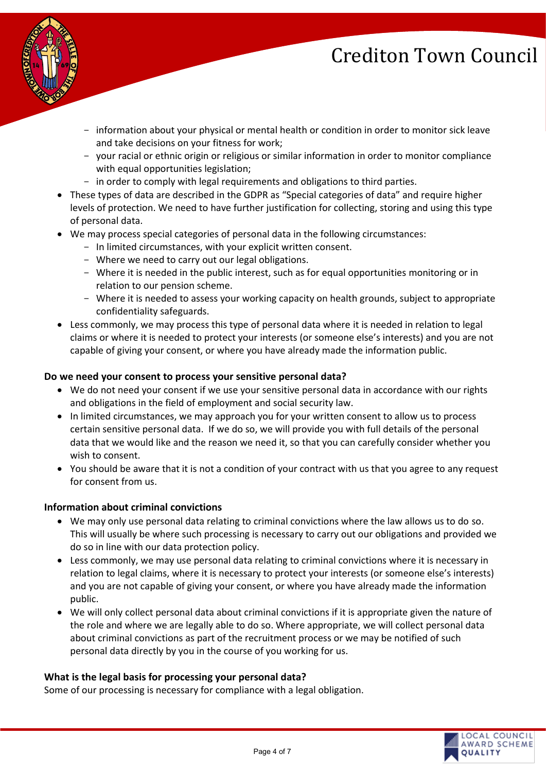

- information about your physical or mental health or condition in order to monitor sick leave and take decisions on your fitness for work;
- your racial or ethnic origin or religious or similar information in order to monitor compliance with equal opportunities legislation;
- in order to comply with legal requirements and obligations to third parties.
- These types of data are described in the GDPR as "Special categories of data" and require higher levels of protection. We need to have further justification for collecting, storing and using this type of personal data.
- We may process special categories of personal data in the following circumstances:
	- In limited circumstances, with your explicit written consent.
	- Where we need to carry out our legal obligations.
	- Where it is needed in the public interest, such as for equal opportunities monitoring or in relation to our pension scheme.
	- Where it is needed to assess your working capacity on health grounds, subject to appropriate confidentiality safeguards.
- Less commonly, we may process this type of personal data where it is needed in relation to legal claims or where it is needed to protect your interests (or someone else's interests) and you are not capable of giving your consent, or where you have already made the information public.

#### **Do we need your consent to process your sensitive personal data?**

- We do not need your consent if we use your sensitive personal data in accordance with our rights and obligations in the field of employment and social security law.
- In limited circumstances, we may approach you for your written consent to allow us to process certain sensitive personal data. If we do so, we will provide you with full details of the personal data that we would like and the reason we need it, so that you can carefully consider whether you wish to consent.
- You should be aware that it is not a condition of your contract with us that you agree to any request for consent from us.

#### **Information about criminal convictions**

- We may only use personal data relating to criminal convictions where the law allows us to do so. This will usually be where such processing is necessary to carry out our obligations and provided we do so in line with our data protection policy.
- Less commonly, we may use personal data relating to criminal convictions where it is necessary in relation to legal claims, where it is necessary to protect your interests (or someone else's interests) and you are not capable of giving your consent, or where you have already made the information public.
- We will only collect personal data about criminal convictions if it is appropriate given the nature of the role and where we are legally able to do so. Where appropriate, we will collect personal data about criminal convictions as part of the recruitment process or we may be notified of such personal data directly by you in the course of you working for us.

#### **What is the legal basis for processing your personal data?**

Some of our processing is necessary for compliance with a legal obligation.

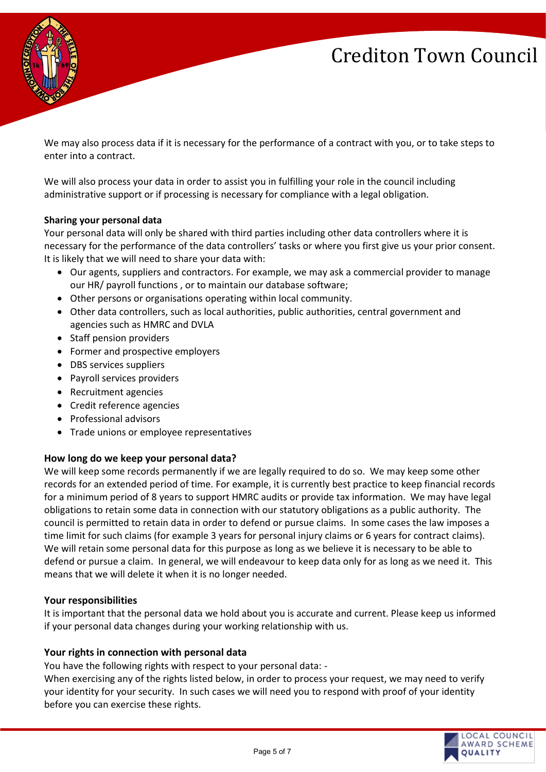

We may also process data if it is necessary for the performance of a contract with you, or to take steps to enter into a contract.

We will also process your data in order to assist you in fulfilling your role in the council including administrative support or if processing is necessary for compliance with a legal obligation.

#### **Sharing your personal data**

Your personal data will only be shared with third parties including other data controllers where it is necessary for the performance of the data controllers' tasks or where you first give us your prior consent. It is likely that we will need to share your data with:

- Our agents, suppliers and contractors. For example, we may ask a commercial provider to manage our HR/ payroll functions , or to maintain our database software;
- Other persons or organisations operating within local community.
- Other data controllers, such as local authorities, public authorities, central government and agencies such as HMRC and DVLA
- Staff pension providers
- Former and prospective employers
- DBS services suppliers
- Payroll services providers
- Recruitment agencies
- Credit reference agencies
- Professional advisors
- Trade unions or employee representatives

#### **How long do we keep your personal data?**

We will keep some records permanently if we are legally required to do so. We may keep some other records for an extended period of time. For example, it is currently best practice to keep financial records for a minimum period of 8 years to support HMRC audits or provide tax information. We may have legal obligations to retain some data in connection with our statutory obligations as a public authority. The council is permitted to retain data in order to defend or pursue claims. In some cases the law imposes a time limit for such claims (for example 3 years for personal injury claims or 6 years for contract claims). We will retain some personal data for this purpose as long as we believe it is necessary to be able to defend or pursue a claim. In general, we will endeavour to keep data only for as long as we need it. This means that we will delete it when it is no longer needed.

#### **Your responsibilities**

It is important that the personal data we hold about you is accurate and current. Please keep us informed if your personal data changes during your working relationship with us.

#### **Your rights in connection with personal data**

You have the following rights with respect to your personal data: -

When exercising any of the rights listed below, in order to process your request, we may need to verify your identity for your security. In such cases we will need you to respond with proof of your identity before you can exercise these rights.

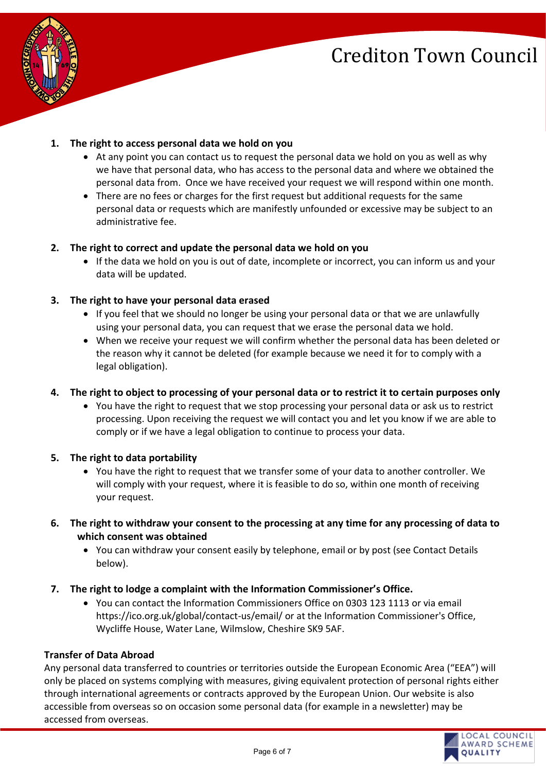

# **1. The right to access personal data we hold on you**

- At any point you can contact us to request the personal data we hold on you as well as why we have that personal data, who has access to the personal data and where we obtained the personal data from. Once we have received your request we will respond within one month.
- There are no fees or charges for the first request but additional requests for the same personal data or requests which are manifestly unfounded or excessive may be subject to an administrative fee.

# **2. The right to correct and update the personal data we hold on you**

• If the data we hold on you is out of date, incomplete or incorrect, you can inform us and your data will be updated.

# **3. The right to have your personal data erased**

- If you feel that we should no longer be using your personal data or that we are unlawfully using your personal data, you can request that we erase the personal data we hold.
- When we receive your request we will confirm whether the personal data has been deleted or the reason why it cannot be deleted (for example because we need it for to comply with a legal obligation).

# **4. The right to object to processing of your personal data or to restrict it to certain purposes only**

• You have the right to request that we stop processing your personal data or ask us to restrict processing. Upon receiving the request we will contact you and let you know if we are able to comply or if we have a legal obligation to continue to process your data.

# **5. The right to data portability**

- You have the right to request that we transfer some of your data to another controller. We will comply with your request, where it is feasible to do so, within one month of receiving your request.
- **6. The right to withdraw your consent to the processing at any time for any processing of data to which consent was obtained**
	- You can withdraw your consent easily by telephone, email or by post (see Contact Details below).
- **7. The right to lodge a complaint with the Information Commissioner's Office.** 
	- You can contact the Information Commissioners Office on 0303 123 1113 or via email https://ico.org.uk/global/contact-us/email/ or at the Information Commissioner's Office, Wycliffe House, Water Lane, Wilmslow, Cheshire SK9 5AF.

#### **Transfer of Data Abroad**

Any personal data transferred to countries or territories outside the European Economic Area ("EEA") will only be placed on systems complying with measures, giving equivalent protection of personal rights either through international agreements or contracts approved by the European Union. Our website is also accessible from overseas so on occasion some personal data (for example in a newsletter) may be accessed from overseas.